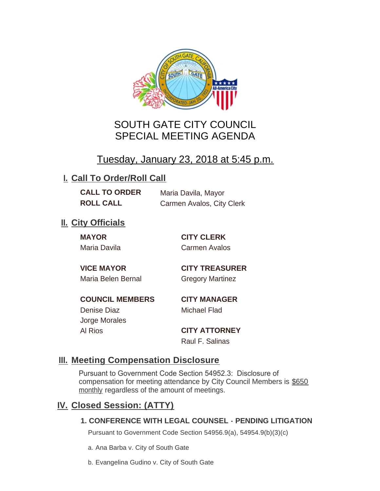

# SOUTH GATE CITY COUNCIL SPECIAL MEETING AGENDA

# Tuesday, January 23, 2018 at 5:45 p.m.

## **I. Call To Order/Roll Call**

**CALL TO ORDER** Maria Davila, Mayor **ROLL CALL** Carmen Avalos, City Clerk

## **II.** City Officials

**MAYOR CITY CLERK**

Maria Davila Carmen Avalos

Maria Belen Bernal Gregory Martinez

**VICE MAYOR CITY TREASURER**

**COUNCIL MEMBERS CITY MANAGER** Denise Diaz Michael Flad

Jorge Morales

Al Rios **CITY ATTORNEY** Raul F. Salinas

### **Meeting Compensation Disclosure III.**

Pursuant to Government Code Section 54952.3: Disclosure of compensation for meeting attendance by City Council Members is \$650 monthly regardless of the amount of meetings.

### **Closed Session: (ATTY) IV.**

#### **1. CONFERENCE WITH LEGAL COUNSEL - PENDING LITIGATION**

Pursuant to Government Code Section 54956.9(a), 54954.9(b)(3)(c)

a. Ana Barba v. City of South Gate

b. Evangelina Gudino v. City of South Gate